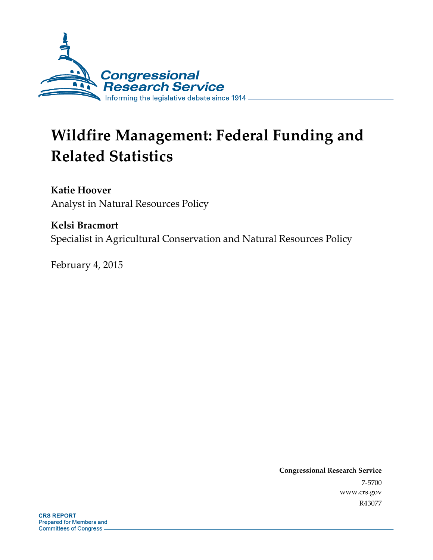

# **Wildfire Management: Federal Funding and Related Statistics**

**Katie Hoover**  Analyst in Natural Resources Policy

**Kelsi Bracmort**  Specialist in Agricultural Conservation and Natural Resources Policy

February 4, 2015

**Congressional Research Service**  7-5700 www.crs.gov R43077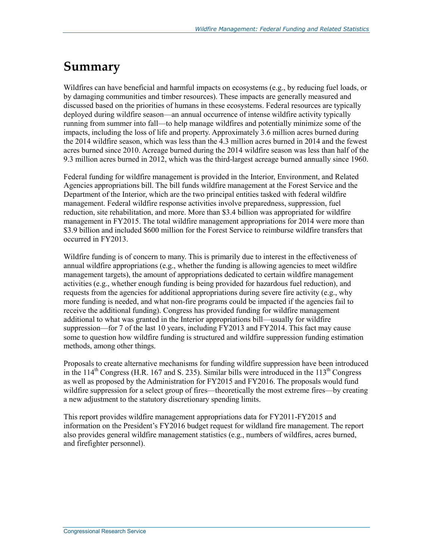### **Summary**

Wildfires can have beneficial and harmful impacts on ecosystems (e.g., by reducing fuel loads, or by damaging communities and timber resources). These impacts are generally measured and discussed based on the priorities of humans in these ecosystems. Federal resources are typically deployed during wildfire season—an annual occurrence of intense wildfire activity typically running from summer into fall—to help manage wildfires and potentially minimize some of the impacts, including the loss of life and property. Approximately 3.6 million acres burned during the 2014 wildfire season, which was less than the 4.3 million acres burned in 2014 and the fewest acres burned since 2010. Acreage burned during the 2014 wildfire season was less than half of the 9.3 million acres burned in 2012, which was the third-largest acreage burned annually since 1960.

Federal funding for wildfire management is provided in the Interior, Environment, and Related Agencies appropriations bill. The bill funds wildfire management at the Forest Service and the Department of the Interior, which are the two principal entities tasked with federal wildfire management. Federal wildfire response activities involve preparedness, suppression, fuel reduction, site rehabilitation, and more. More than \$3.4 billion was appropriated for wildfire management in FY2015. The total wildfire management appropriations for 2014 were more than \$3.9 billion and included \$600 million for the Forest Service to reimburse wildfire transfers that occurred in FY2013.

Wildfire funding is of concern to many. This is primarily due to interest in the effectiveness of annual wildfire appropriations (e.g., whether the funding is allowing agencies to meet wildfire management targets), the amount of appropriations dedicated to certain wildfire management activities (e.g., whether enough funding is being provided for hazardous fuel reduction), and requests from the agencies for additional appropriations during severe fire activity (e.g., why more funding is needed, and what non-fire programs could be impacted if the agencies fail to receive the additional funding). Congress has provided funding for wildfire management additional to what was granted in the Interior appropriations bill—usually for wildfire suppression—for 7 of the last 10 years, including FY2013 and FY2014. This fact may cause some to question how wildfire funding is structured and wildfire suppression funding estimation methods, among other things.

Proposals to create alternative mechanisms for funding wildfire suppression have been introduced in the  $114^{\text{th}}$  Congress (H.R. 167 and S. 235). Similar bills were introduced in the  $113^{\text{th}}$  Congress as well as proposed by the Administration for FY2015 and FY2016. The proposals would fund wildfire suppression for a select group of fires—theoretically the most extreme fires—by creating a new adjustment to the statutory discretionary spending limits.

This report provides wildfire management appropriations data for FY2011-FY2015 and information on the President's FY2016 budget request for wildland fire management. The report also provides general wildfire management statistics (e.g., numbers of wildfires, acres burned, and firefighter personnel).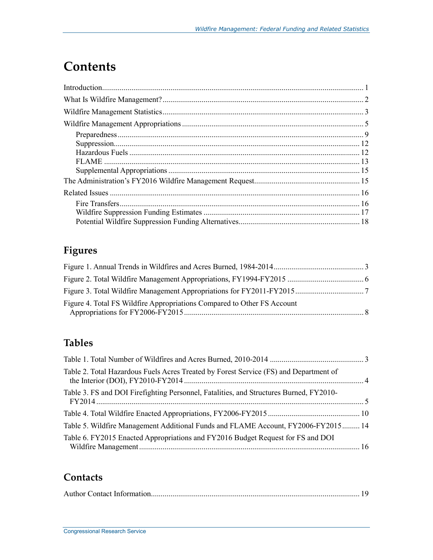## **Contents**

### **Figures**

| Figure 4. Total FS Wildfire Appropriations Compared to Other FS Account |  |
|-------------------------------------------------------------------------|--|

### **Tables**

| Table 2. Total Hazardous Fuels Acres Treated by Forest Service (FS) and Department of  |  |
|----------------------------------------------------------------------------------------|--|
| Table 3. FS and DOI Firefighting Personnel, Fatalities, and Structures Burned, FY2010- |  |
|                                                                                        |  |
| Table 5. Wildfire Management Additional Funds and FLAME Account, FY2006-FY2015 14      |  |
| Table 6. FY2015 Enacted Appropriations and FY2016 Budget Request for FS and DOI        |  |

#### **Contacts**

|--|--|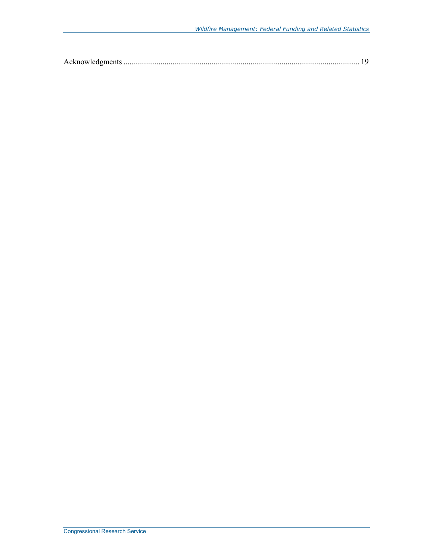|--|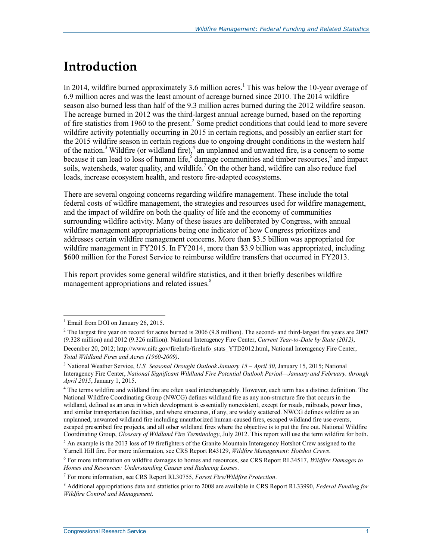## **Introduction**

In 2014, wildfire burned approximately 3.6 million acres.<sup>1</sup> This was below the 10-year average of 6.9 million acres and was the least amount of acreage burned since 2010. The 2014 wildfire season also burned less than half of the 9.3 million acres burned during the 2012 wildfire season. The acreage burned in 2012 was the third-largest annual acreage burned, based on the reporting of fire statistics from 1960 to the present.<sup>2</sup> Some predict conditions that could lead to more severe wildfire activity potentially occurring in 2015 in certain regions, and possibly an earlier start for the 2015 wildfire season in certain regions due to ongoing drought conditions in the western half of the nation.<sup>3</sup> Wildfire (or wildland fire),<sup>4</sup> an unplanned and unwanted fire, is a concern to some because it can lead to loss of human life,<sup>5</sup> damage communities and timber resources,<sup>6</sup> and impact soils, watersheds, water quality, and wildlife.<sup>7</sup> On the other hand, wildfire can also reduce fuel loads, increase ecosystem health, and restore fire-adapted ecosystems.

There are several ongoing concerns regarding wildfire management. These include the total federal costs of wildfire management, the strategies and resources used for wildfire management, and the impact of wildfire on both the quality of life and the economy of communities surrounding wildfire activity. Many of these issues are deliberated by Congress, with annual wildfire management appropriations being one indicator of how Congress prioritizes and addresses certain wildfire management concerns. More than \$3.5 billion was appropriated for wildfire management in FY2015. In FY2014, more than \$3.9 billion was appropriated, including \$600 million for the Forest Service to reimburse wildfire transfers that occurred in FY2013.

This report provides some general wildfire statistics, and it then briefly describes wildfire management appropriations and related issues.<sup>8</sup>

<sup>&</sup>lt;sup>1</sup> Email from DOI on January 26, 2015.

 $2$  The largest fire year on record for acres burned is 2006 (9.8 million). The second- and third-largest fire years are 2007 (9.328 million) and 2012 (9.326 million). National Interagency Fire Center, *Current Year-to-Date by State (2012)*,

December 20, 2012; http://www.nifc.gov/fireInfo/fireInfo\_stats\_YTD2012.html, National Interagency Fire Center, *Total Wildland Fires and Acres (1960-2009)*.

<sup>3</sup> National Weather Service, *U.S. Seasonal Drought Outlook January 15 – April 30*, January 15, 2015; National Interagency Fire Center, *National Significant Wildland Fire Potential Outlook Period—January and February, through April 2015*, January 1, 2015.

<sup>&</sup>lt;sup>4</sup> The terms wildfire and wildland fire are often used interchangeably. However, each term has a distinct definition. The National Wildfire Coordinating Group (NWCG) defines wildland fire as any non-structure fire that occurs in the wildland, defined as an area in which development is essentially nonexistent, except for roads, railroads, power lines, and similar transportation facilities, and where structures, if any, are widely scattered. NWCG defines wildfire as an unplanned, unwanted wildland fire including unauthorized human-caused fires, escaped wildland fire use events, escaped prescribed fire projects, and all other wildland fires where the objective is to put the fire out. National Wildfire Coordinating Group, *Glossary of Wildland Fire Terminology*, July 2012. This report will use the term wildfire for both.

 $<sup>5</sup>$  An example is the 2013 loss of 19 firefighters of the Granite Mountain Interagency Hotshot Crew assigned to the</sup> Yarnell Hill fire. For more information, see CRS Report R43129, *Wildfire Management: Hotshot Crews*.

<sup>6</sup> For more information on wildfire damages to homes and resources, see CRS Report RL34517, *Wildfire Damages to Homes and Resources: Understanding Causes and Reducing Losses*.

<sup>7</sup> For more information, see CRS Report RL30755, *Forest Fire/Wildfire Protection*.

<sup>8</sup> Additional appropriations data and statistics prior to 2008 are available in CRS Report RL33990, *Federal Funding for Wildfire Control and Management*.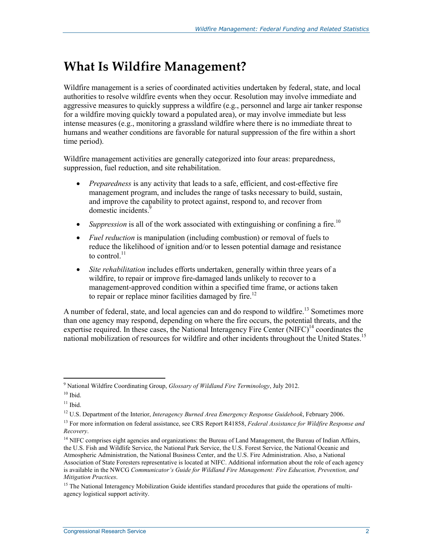### **What Is Wildfire Management?**

Wildfire management is a series of coordinated activities undertaken by federal, state, and local authorities to resolve wildfire events when they occur. Resolution may involve immediate and aggressive measures to quickly suppress a wildfire (e.g., personnel and large air tanker response for a wildfire moving quickly toward a populated area), or may involve immediate but less intense measures (e.g., monitoring a grassland wildfire where there is no immediate threat to humans and weather conditions are favorable for natural suppression of the fire within a short time period).

Wildfire management activities are generally categorized into four areas: preparedness, suppression, fuel reduction, and site rehabilitation.

- *Preparedness* is any activity that leads to a safe, efficient, and cost-effective fire management program, and includes the range of tasks necessary to build, sustain, and improve the capability to protect against, respond to, and recover from domestic incidents.
- *Suppression* is all of the work associated with extinguishing or confining a fire.<sup>10</sup>
- *Fuel reduction* is manipulation (including combustion) or removal of fuels to reduce the likelihood of ignition and/or to lessen potential damage and resistance to control $^{11}$
- *Site rehabilitation* includes efforts undertaken, generally within three years of a wildfire, to repair or improve fire-damaged lands unlikely to recover to a management-approved condition within a specified time frame, or actions taken to repair or replace minor facilities damaged by fire.<sup>12</sup>

A number of federal, state, and local agencies can and do respond to wildfire.<sup>13</sup> Sometimes more than one agency may respond, depending on where the fire occurs, the potential threats, and the expertise required. In these cases, the National Interagency Fire Center  $(NIFC)^{14}$  coordinates the national mobilization of resources for wildfire and other incidents throughout the United States.<sup>15</sup>

<u>.</u>

<sup>9</sup> National Wildfire Coordinating Group, *Glossary of Wildland Fire Terminology*, July 2012.

 $10$  Ibid.

 $11$  Ibid.

<sup>12</sup> U.S. Department of the Interior, *Interagency Burned Area Emergency Response Guidebook*, February 2006.

<sup>13</sup> For more information on federal assistance, see CRS Report R41858, *Federal Assistance for Wildfire Response and Recovery*.

<sup>&</sup>lt;sup>14</sup> NIFC comprises eight agencies and organizations: the Bureau of Land Management, the Bureau of Indian Affairs, the U.S. Fish and Wildlife Service, the National Park Service, the U.S. Forest Service, the National Oceanic and Atmospheric Administration, the National Business Center, and the U.S. Fire Administration. Also, a National Association of State Foresters representative is located at NIFC. Additional information about the role of each agency is available in the NWCG *Communicator's Guide for Wildland Fire Management: Fire Education, Prevention, and Mitigation Practices*.

<sup>&</sup>lt;sup>15</sup> The National Interagency Mobilization Guide identifies standard procedures that guide the operations of multiagency logistical support activity.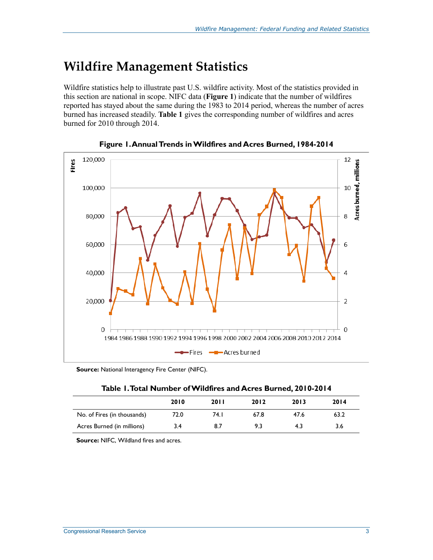### **Wildfire Management Statistics**

Wildfire statistics help to illustrate past U.S. wildfire activity. Most of the statistics provided in this section are national in scope. NIFC data (**Figure 1**) indicate that the number of wildfires reported has stayed about the same during the 1983 to 2014 period, whereas the number of acres burned has increased steadily. **Table 1** gives the corresponding number of wildfires and acres burned for 2010 through 2014.



**Figure 1. Annual Trends in Wildfires and Acres Burned, 1984-2014** 

**Source:** National Interagency Fire Center (NIFC).

| Table 1. Total Number of Wildfires and Acres Burned, 2010-2014 |
|----------------------------------------------------------------|
|----------------------------------------------------------------|

|                             | 2010 | <b>2011</b> | 2012 | 2013 | 2014 |
|-----------------------------|------|-------------|------|------|------|
| No. of Fires (in thousands) | 72.0 | 74. I       | 67.8 | 47.6 | 63.2 |
| Acres Burned (in millions)  | 3.4  | 8.7         | 9.3  | 4.3  | 3.6  |

**Source:** NIFC, Wildland fires and acres.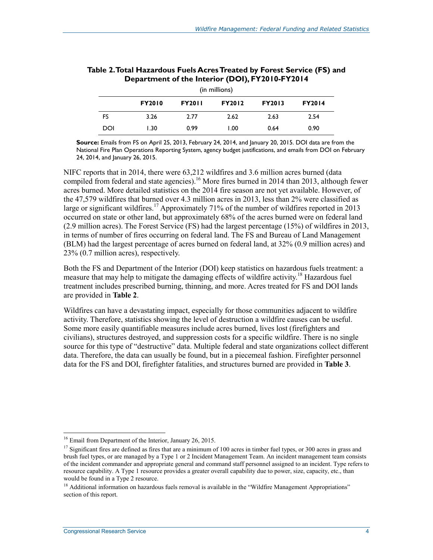| (in millions)                                                                     |      |      |      |      |      |  |  |
|-----------------------------------------------------------------------------------|------|------|------|------|------|--|--|
| <b>FY2014</b><br><b>FY2010</b><br><b>FY2011</b><br><b>FY2012</b><br><b>FY2013</b> |      |      |      |      |      |  |  |
| FS                                                                                | 3.26 | 2.77 | 2.62 | 2.63 | 2.54 |  |  |
| DOI                                                                               | I.30 | 0.99 | 1.00 | 0.64 | 0.90 |  |  |

| Table 2. Total Hazardous Fuels Acres Treated by Forest Service (FS) and |
|-------------------------------------------------------------------------|
| Department of the Interior (DOI), FY2010-FY2014                         |

**Source:** Emails from FS on April 25, 2013, February 24, 2014, and January 20, 2015. DOI data are from the National Fire Plan Operations Reporting System, agency budget justifications, and emails from DOI on February 24, 2014, and January 26, 2015.

NIFC reports that in 2014, there were 63,212 wildfires and 3.6 million acres burned (data compiled from federal and state agencies).<sup>16</sup> More fires burned in 2014 than 2013, although fewer acres burned. More detailed statistics on the 2014 fire season are not yet available. However, of the 47,579 wildfires that burned over 4.3 million acres in 2013, less than 2% were classified as large or significant wildfires.<sup>17</sup> Approximately 71% of the number of wildfires reported in 2013 occurred on state or other land, but approximately 68% of the acres burned were on federal land (2.9 million acres). The Forest Service (FS) had the largest percentage (15%) of wildfires in 2013, in terms of number of fires occurring on federal land. The FS and Bureau of Land Management (BLM) had the largest percentage of acres burned on federal land, at 32% (0.9 million acres) and 23% (0.7 million acres), respectively.

Both the FS and Department of the Interior (DOI) keep statistics on hazardous fuels treatment: a measure that may help to mitigate the damaging effects of wildfire activity.<sup>18</sup> Hazardous fuel treatment includes prescribed burning, thinning, and more. Acres treated for FS and DOI lands are provided in **Table 2**.

Wildfires can have a devastating impact, especially for those communities adjacent to wildfire activity. Therefore, statistics showing the level of destruction a wildfire causes can be useful. Some more easily quantifiable measures include acres burned, lives lost (firefighters and civilians), structures destroyed, and suppression costs for a specific wildfire. There is no single source for this type of "destructive" data. Multiple federal and state organizations collect different data. Therefore, the data can usually be found, but in a piecemeal fashion. Firefighter personnel data for the FS and DOI, firefighter fatalities, and structures burned are provided in **Table 3**.

<sup>&</sup>lt;sup>16</sup> Email from Department of the Interior, January 26, 2015.

 $17$  Significant fires are defined as fires that are a minimum of 100 acres in timber fuel types, or 300 acres in grass and brush fuel types, or are managed by a Type 1 or 2 Incident Management Team. An incident management team consists of the incident commander and appropriate general and command staff personnel assigned to an incident. Type refers to resource capability. A Type 1 resource provides a greater overall capability due to power, size, capacity, etc., than would be found in a Type 2 resource.

<sup>&</sup>lt;sup>18</sup> Additional information on hazardous fuels removal is available in the "Wildfire Management Appropriations" section of this report.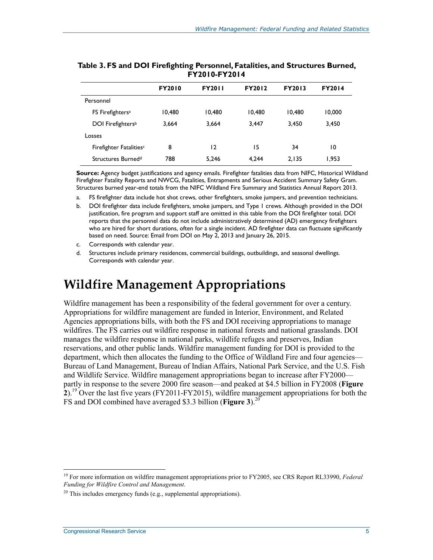|                                     | <b>FY2010</b> | <b>FY2011</b> | <b>FY2012</b> | <b>FY2013</b> | <b>FY2014</b> |
|-------------------------------------|---------------|---------------|---------------|---------------|---------------|
| Personnel                           |               |               |               |               |               |
| FS Firefighters <sup>a</sup>        | 10.480        | 10.480        | 10.480        | 10.480        | 10,000        |
| DOI Firefighters <sup>b</sup>       | 3.664         | 3.664         | 3.447         | 3.450         | 3.450         |
| Losses                              |               |               |               |               |               |
| Firefighter Fatalities <sup>c</sup> | 8             | 12            | 15            | 34            | 10            |
| Structures Burned <sup>d</sup>      | 788           | 5,246         | 4.244         | 2.135         | 1.953         |

| Table 3. FS and DOI Firefighting Personnel, Fatalities, and Structures Burned, |  |
|--------------------------------------------------------------------------------|--|
| FY2010-FY2014                                                                  |  |

**Source:** Agency budget justifications and agency emails. Firefighter fatalities data from NIFC, Historical Wildland Firefighter Fatality Reports and NWCG, Fatalities, Entrapments and Serious Accident Summary Safety Gram. Structures burned year-end totals from the NIFC Wildland Fire Summary and Statistics Annual Report 2013.

a. FS firefighter data include hot shot crews, other firefighters, smoke jumpers, and prevention technicians.

b. DOI firefighter data include firefighters, smoke jumpers, and Type 1 crews. Although provided in the DOI justification, fire program and support staff are omitted in this table from the DOI firefighter total. DOI reports that the personnel data do not include administratively determined (AD) emergency firefighters who are hired for short durations, often for a single incident. AD firefighter data can fluctuate significantly based on need. Source: Email from DOI on May 2, 2013 and January 26, 2015.

c. Corresponds with calendar year.

d. Structures include primary residences, commercial buildings, outbuildings, and seasonal dwellings. Corresponds with calendar year.

### **Wildfire Management Appropriations**

Wildfire management has been a responsibility of the federal government for over a century. Appropriations for wildfire management are funded in Interior, Environment, and Related Agencies appropriations bills, with both the FS and DOI receiving appropriations to manage wildfires. The FS carries out wildfire response in national forests and national grasslands. DOI manages the wildfire response in national parks, wildlife refuges and preserves, Indian reservations, and other public lands. Wildfire management funding for DOI is provided to the department, which then allocates the funding to the Office of Wildland Fire and four agencies— Bureau of Land Management, Bureau of Indian Affairs, National Park Service, and the U.S. Fish and Wildlife Service. Wildfire management appropriations began to increase after FY2000 partly in response to the severe 2000 fire season—and peaked at \$4.5 billion in FY2008 (**Figure 2**).19 Over the last five years (FY2011-FY2015), wildfire management appropriations for both the FS and DOI combined have averaged \$3.3 billion (**Figure 3**).20

<sup>19</sup> For more information on wildfire management appropriations prior to FY2005, see CRS Report RL33990, *Federal Funding for Wildfire Control and Management*.

 $20$  This includes emergency funds (e.g., supplemental appropriations).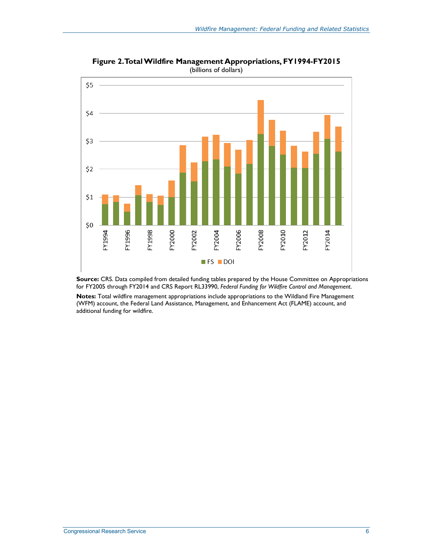

**Figure 2. Total Wildfire Management Appropriations, FY1994-FY2015**  (billions of dollars)

**Source:** CRS. Data compiled from detailed funding tables prepared by the House Committee on Appropriations for FY2005 through FY2014 and CRS Report RL33990, *Federal Funding for Wildfire Control and Management*.

**Notes:** Total wildfire management appropriations include appropriations to the Wildland Fire Management (WFM) account, the Federal Land Assistance, Management, and Enhancement Act (FLAME) account, and additional funding for wildfire.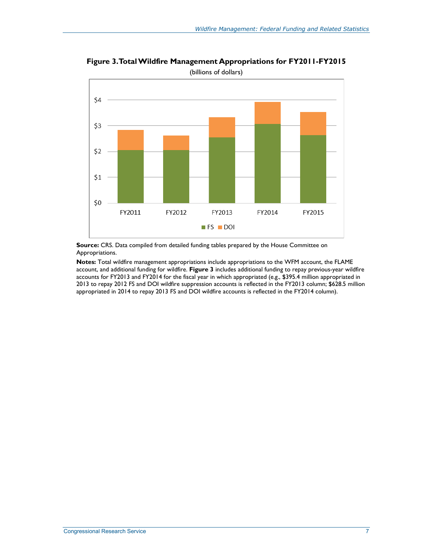

**Figure 3. Total Wildfire Management Appropriations for FY2011-FY2015**  (billions of dollars)

**Source:** CRS. Data compiled from detailed funding tables prepared by the House Committee on Appropriations.

**Notes:** Total wildfire management appropriations include appropriations to the WFM account, the FLAME account, and additional funding for wildfire. **Figure 3** includes additional funding to repay previous-year wildfire accounts for FY2013 and FY2014 for the fiscal year in which appropriated (e.g., \$395.4 million appropriated in 2013 to repay 2012 FS and DOI wildfire suppression accounts is reflected in the FY2013 column; \$628.5 million appropriated in 2014 to repay 2013 FS and DOI wildfire accounts is reflected in the FY2014 column).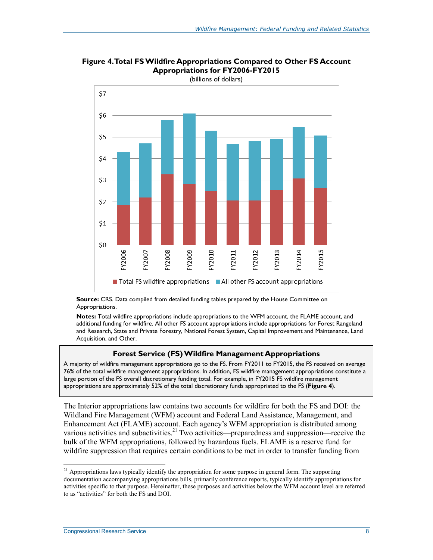

**Figure 4. Total FS Wildfire Appropriations Compared to Other FS Account Appropriations for FY2006-FY2015** 

**Source:** CRS. Data compiled from detailed funding tables prepared by the House Committee on Appropriations.

**Notes:** Total wildfire appropriations include appropriations to the WFM account, the FLAME account, and additional funding for wildfire. All other FS account appropriations include appropriations for Forest Rangeland and Research, State and Private Forestry, National Forest System, Capital Improvement and Maintenance, Land Acquisition, and Other.

#### **Forest Service (FS)Wildfire Management Appropriations**

A majority of wildfire management appropriations go to the FS. From FY2011 to FY2015, the FS received on average 76% of the total wildfire management appropriations. In addition, FS wildfire management appropriations constitute a large portion of the FS overall discretionary funding total. For example, in FY2015 FS wildfire management appropriations are approximately 52% of the total discretionary funds appropriated to the FS (**Figure 4**).

The Interior appropriations law contains two accounts for wildfire for both the FS and DOI: the Wildland Fire Management (WFM) account and Federal Land Assistance, Management, and Enhancement Act (FLAME) account. Each agency's WFM appropriation is distributed among various activities and subactivities.<sup>21</sup> Two activities—preparedness and suppression—receive the bulk of the WFM appropriations, followed by hazardous fuels. FLAME is a reserve fund for wildfire suppression that requires certain conditions to be met in order to transfer funding from

<sup>&</sup>lt;sup>21</sup> Appropriations laws typically identify the appropriation for some purpose in general form. The supporting documentation accompanying appropriations bills, primarily conference reports, typically identify appropriations for activities specific to that purpose. Hereinafter, these purposes and activities below the WFM account level are referred to as "activities" for both the FS and DOI.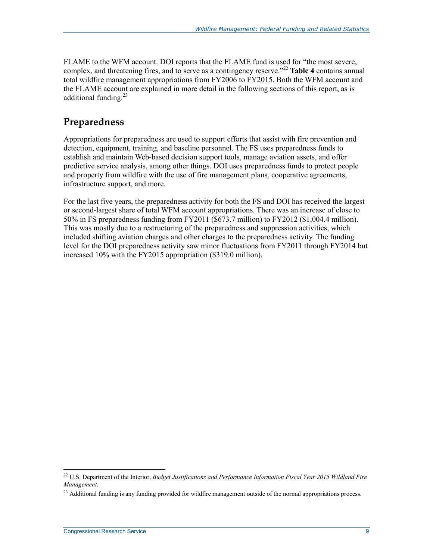FLAME to the WFM account. DOI reports that the FLAME fund is used for "the most severe, complex, and threatening fires, and to serve as a contingency reserve."22 **Table 4** contains annual total wildfire management appropriations from FY2006 to FY2015. Both the WFM account and the FLAME account are explained in more detail in the following sections of this report, as is additional funding.<sup>23</sup>

#### **Preparedness**

Appropriations for preparedness are used to support efforts that assist with fire prevention and detection, equipment, training, and baseline personnel. The FS uses preparedness funds to establish and maintain Web-based decision support tools, manage aviation assets, and offer predictive service analysis, among other things. DOI uses preparedness funds to protect people and property from wildfire with the use of fire management plans, cooperative agreements, infrastructure support, and more.

For the last five years, the preparedness activity for both the FS and DOI has received the largest or second-largest share of total WFM account appropriations. There was an increase of close to 50% in FS preparedness funding from FY2011 (\$673.7 million) to FY2012 (\$1,004.4 million). This was mostly due to a restructuring of the preparedness and suppression activities, which included shifting aviation charges and other charges to the preparedness activity. The funding level for the DOI preparedness activity saw minor fluctuations from FY2011 through FY2014 but increased 10% with the FY2015 appropriation (\$319.0 million).

<sup>22</sup> U.S. Department of the Interior, *Budget Justifications and Performance Information Fiscal Year 2015 Wildland Fire Management*.

<sup>&</sup>lt;sup>23</sup> Additional funding is any funding provided for wildfire management outside of the normal appropriations process.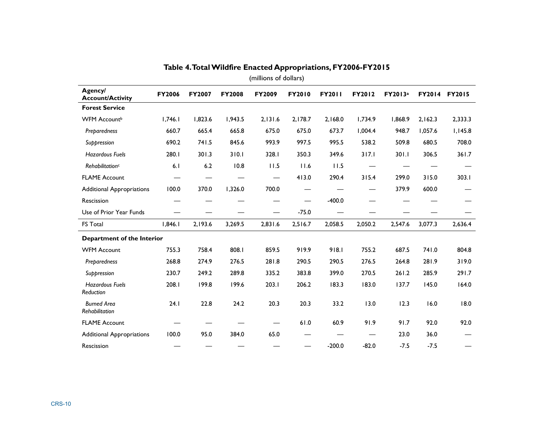|                                      |               |               |               | (millions of dollars) |         |               |         |         |         |               |
|--------------------------------------|---------------|---------------|---------------|-----------------------|---------|---------------|---------|---------|---------|---------------|
| Agency/<br><b>Account/Activity</b>   | <b>FY2006</b> | <b>FY2007</b> | <b>FY2008</b> | FY2009                | FY2010  | <b>FY2011</b> | FY2012  | FY2013a |         | FY2014 FY2015 |
| <b>Forest Service</b>                |               |               |               |                       |         |               |         |         |         |               |
| <b>WFM Accountb</b>                  | 1,746.1       | 1,823.6       | 1,943.5       | 2,131.6               | 2,178.7 | 2,168.0       | 1,734.9 | 1,868.9 | 2,162.3 | 2,333.3       |
| Preparedness                         | 660.7         | 665.4         | 665.8         | 675.0                 | 675.0   | 673.7         | 1,004.4 | 948.7   | 1,057.6 | 1,145.8       |
| Suppression                          | 690.2         | 741.5         | 845.6         | 993.9                 | 997.5   | 995.5         | 538.2   | 509.8   | 680.5   | 708.0         |
| <b>Hazardous Fuels</b>               | 280.1         | 301.3         | 310.1         | 328.1                 | 350.3   | 349.6         | 317.1   | 301.1   | 306.5   | 361.7         |
| Rehabilitation <sup>c</sup>          | 6.1           | $6.2$         | 10.8          | 11.5                  | 11.6    | 11.5          |         |         |         |               |
| <b>FLAME Account</b>                 |               |               |               |                       | 413.0   | 290.4         | 315.4   | 299.0   | 315.0   | 303.1         |
| <b>Additional Appropriations</b>     | 100.0         | 370.0         | 1,326.0       | 700.0                 |         |               |         | 379.9   | 600.0   |               |
| Rescission                           |               |               |               |                       |         | $-400.0$      |         |         |         |               |
| Use of Prior Year Funds              |               |               |               |                       | $-75.0$ |               |         |         |         |               |
| FS Total                             | 1,846.1       | 2,193.6       | 3,269.5       | 2,831.6               | 2,516.7 | 2,058.5       | 2,050.2 | 2,547.6 | 3,077.3 | 2,636.4       |
| Department of the Interior           |               |               |               |                       |         |               |         |         |         |               |
| <b>WFM Account</b>                   | 755.3         | 758.4         | 808.1         | 859.5                 | 919.9   | 918.1         | 755.2   | 687.5   | 741.0   | 804.8         |
| Preparedness                         | 268.8         | 274.9         | 276.5         | 281.8                 | 290.5   | 290.5         | 276.5   | 264.8   | 281.9   | 319.0         |
| Suppression                          | 230.7         | 249.2         | 289.8         | 335.2                 | 383.8   | 399.0         | 270.5   | 261.2   | 285.9   | 291.7         |
| <b>Hazardous Fuels</b><br>Reduction  | 208.1         | 199.8         | 199.6         | 203.1                 | 206.2   | 183.3         | 183.0   | 137.7   | 145.0   | 164.0         |
| <b>Burned Area</b><br>Rehabilitation | 24.1          | 22.8          | 24.2          | 20.3                  | 20.3    | 33.2          | 13.0    | 12.3    | 16.0    | 18.0          |
| <b>FLAME Account</b>                 |               |               |               |                       | 61.0    | 60.9          | 91.9    | 91.7    | 92.0    | 92.0          |
| <b>Additional Appropriations</b>     | 100.0         | 95.0          | 384.0         | 65.0                  |         |               |         | 23.0    | 36.0    |               |
| Rescission                           |               |               |               |                       |         | $-200.0$      | $-82.0$ | $-7.5$  | $-7.5$  |               |

#### **Table 4. Total Wildfire Enacted Appropriations, FY2006-FY2015**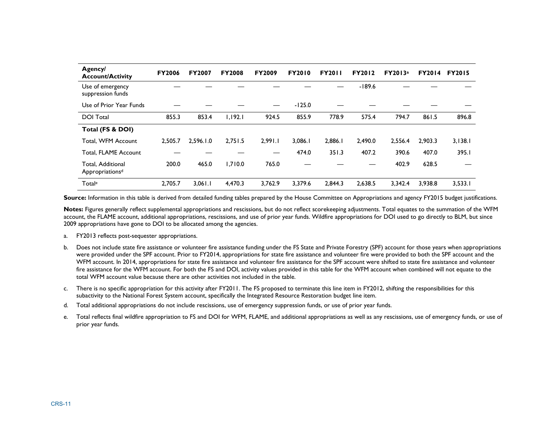| <b>Agency/</b><br><b>Account/Activity</b>        | <b>FY2006</b> | <b>FY2007</b> | <b>FY2008</b> | <b>FY2009</b> | <b>FY2010</b> | <b>FY2011</b> | <b>FY2012</b> | FY2013a | <b>FY2014</b> | <b>FY2015</b> |
|--------------------------------------------------|---------------|---------------|---------------|---------------|---------------|---------------|---------------|---------|---------------|---------------|
| Use of emergency<br>suppression funds            |               |               |               |               |               |               | $-189.6$      |         |               |               |
| Use of Prior Year Funds                          |               |               |               |               | $-125.0$      |               |               |         |               |               |
| <b>DOI Total</b>                                 | 855.3         | 853.4         | 1,192.1       | 924.5         | 855.9         | 778.9         | 575.4         | 794.7   | 861.5         | 896.8         |
| Total (FS & DOI)                                 |               |               |               |               |               |               |               |         |               |               |
| Total, WFM Account                               | 2,505.7       | 2,596.1.0     | 2,751.5       | 2,991.1       | 3,086.1       | 2,886.1       | 2,490.0       | 2,556.4 | 2.903.3       | 3,138.1       |
| Total, FLAME Account                             |               |               |               |               | 474.0         | 351.3         | 407.2         | 390.6   | 407.0         | 395.1         |
| Total, Additional<br>Appropriations <sup>d</sup> | 200.0         | 465.0         | 1.710.0       | 765.0         |               |               |               | 402.9   | 628.5         |               |
| Totale                                           | 2.705.7       | 3,061.1       | 4.470.3       | 3.762.9       | 3.379.6       | 2.844.3       | 2.638.5       | 3.342.4 | 3.938.8       | 3,533.1       |

Source: Information in this table is derived from detailed funding tables prepared by the House Committee on Appropriations and agency FY2015 budget justifications.

**Notes:** Figures generally reflect supplemental appropriations and rescissions, but do not reflect scorekeeping adjustments. Total equates to the summation of the WFM account, the FLAME account, additional appropriations, rescissions, and use of prior year funds. Wildfire appropriations for DOI used to go directly to BLM, but since 2009 appropriations have gone to DOI to be allocated among the agencies.

- a. FY2013 reflects post-sequester appropriations.
- b. Does not include state fire assistance or volunteer fire assistance funding under the FS State and Private Forestry (SPF) account for those years when appropriations were provided under the SPF account. Prior to FY2014, appropriations for state fire assistance and volunteer fire were provided to both the SPF account and the WFM account. In 2014, appropriations for state fire assistance and volunteer fire assistance for the SPF account were shifted to state fire assistance and volunteer fire assistance for the WFM account. For both the FS and DOI, activity values provided in this table for the WFM account when combined will not equate to the total WFM account value because there are other activities not included in the table.
- c. There is no specific appropriation for this activity after FY2011. The FS proposed to terminate this line item in FY2012, shifting the responsibilities for this subactivity to the National Forest System account, specifically the Integrated Resource Restoration budget line item.
- d. Total additional appropriations do not include rescissions, use of emergency suppression funds, or use of prior year funds.
- e. Total reflects final wildfire appropriation to FS and DOI for WFM, FLAME, and additional appropriations as well as any rescissions, use of emergency funds, or use of prior year funds.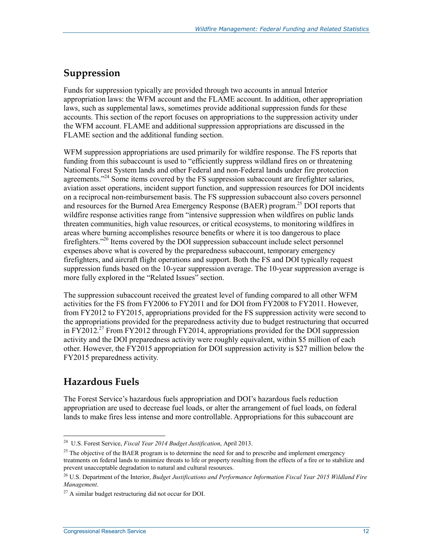#### **Suppression**

Funds for suppression typically are provided through two accounts in annual Interior appropriation laws: the WFM account and the FLAME account. In addition, other appropriation laws, such as supplemental laws, sometimes provide additional suppression funds for these accounts. This section of the report focuses on appropriations to the suppression activity under the WFM account. FLAME and additional suppression appropriations are discussed in the FLAME section and the additional funding section.

WFM suppression appropriations are used primarily for wildfire response. The FS reports that funding from this subaccount is used to "efficiently suppress wildland fires on or threatening National Forest System lands and other Federal and non-Federal lands under fire protection agreements."<sup>24</sup> Some items covered by the FS suppression subaccount are firefighter salaries, aviation asset operations, incident support function, and suppression resources for DOI incidents on a reciprocal non-reimbursement basis. The FS suppression subaccount also covers personnel and resources for the Burned Area Emergency Response (BAER) program.<sup>25</sup> DOI reports that wildfire response activities range from "intensive suppression when wildfires on public lands threaten communities, high value resources, or critical ecosystems, to monitoring wildfires in areas where burning accomplishes resource benefits or where it is too dangerous to place firefighters."26 Items covered by the DOI suppression subaccount include select personnel expenses above what is covered by the preparedness subaccount, temporary emergency firefighters, and aircraft flight operations and support. Both the FS and DOI typically request suppression funds based on the 10-year suppression average. The 10-year suppression average is more fully explored in the "Related Issues" section.

The suppression subaccount received the greatest level of funding compared to all other WFM activities for the FS from FY2006 to FY2011 and for DOI from FY2008 to FY2011. However, from FY2012 to FY2015, appropriations provided for the FS suppression activity were second to the appropriations provided for the preparedness activity due to budget restructuring that occurred in  $\overline{FY2012}$ .<sup>27</sup> From FY2012 through FY2014, appropriations provided for the DOI suppression activity and the DOI preparedness activity were roughly equivalent, within \$5 million of each other. However, the FY2015 appropriation for DOI suppression activity is \$27 million below the FY2015 preparedness activity.

#### **Hazardous Fuels**

The Forest Service's hazardous fuels appropriation and DOI's hazardous fuels reduction appropriation are used to decrease fuel loads, or alter the arrangement of fuel loads, on federal lands to make fires less intense and more controllable. Appropriations for this subaccount are

<sup>1</sup> 24 U.S. Forest Service, *Fiscal Year 2014 Budget Justification*, April 2013.

 $25$  The objective of the BAER program is to determine the need for and to prescribe and implement emergency treatments on federal lands to minimize threats to life or property resulting from the effects of a fire or to stabilize and prevent unacceptable degradation to natural and cultural resources.

<sup>26</sup> U.S. Department of the Interior, *Budget Justifications and Performance Information Fiscal Year 2015 Wildland Fire Management*.

 $^{27}$  A similar budget restructuring did not occur for DOI.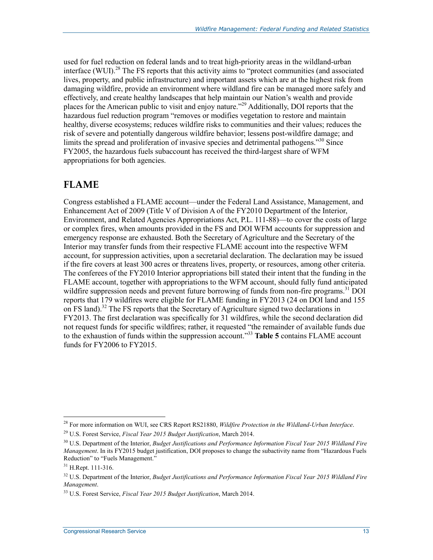used for fuel reduction on federal lands and to treat high-priority areas in the wildland-urban interface (WUI).<sup>28</sup> The FS reports that this activity aims to "protect communities (and associated lives, property, and public infrastructure) and important assets which are at the highest risk from damaging wildfire, provide an environment where wildland fire can be managed more safely and effectively, and create healthy landscapes that help maintain our Nation's wealth and provide places for the American public to visit and enjoy nature."29 Additionally, DOI reports that the hazardous fuel reduction program "removes or modifies vegetation to restore and maintain healthy, diverse ecosystems; reduces wildfire risks to communities and their values; reduces the risk of severe and potentially dangerous wildfire behavior; lessens post-wildfire damage; and limits the spread and proliferation of invasive species and detrimental pathogens."30 Since FY2005, the hazardous fuels subaccount has received the third-largest share of WFM appropriations for both agencies.

#### **FLAME**

Congress established a FLAME account—under the Federal Land Assistance, Management, and Enhancement Act of 2009 (Title V of Division A of the FY2010 Department of the Interior, Environment, and Related Agencies Appropriations Act, P.L. 111-88)—to cover the costs of large or complex fires, when amounts provided in the FS and DOI WFM accounts for suppression and emergency response are exhausted. Both the Secretary of Agriculture and the Secretary of the Interior may transfer funds from their respective FLAME account into the respective WFM account, for suppression activities, upon a secretarial declaration. The declaration may be issued if the fire covers at least 300 acres or threatens lives, property, or resources, among other criteria. The conferees of the FY2010 Interior appropriations bill stated their intent that the funding in the FLAME account, together with appropriations to the WFM account, should fully fund anticipated wildfire suppression needs and prevent future borrowing of funds from non-fire programs.<sup>31</sup> DOI reports that 179 wildfires were eligible for FLAME funding in FY2013 (24 on DOI land and 155 on FS land).<sup>32</sup> The FS reports that the Secretary of Agriculture signed two declarations in FY2013. The first declaration was specifically for 31 wildfires, while the second declaration did not request funds for specific wildfires; rather, it requested "the remainder of available funds due to the exhaustion of funds within the suppression account."33 **Table 5** contains FLAME account funds for FY2006 to FY2015.

<sup>28</sup> For more information on WUI, see CRS Report RS21880, *Wildfire Protection in the Wildland-Urban Interface*.

<sup>29</sup> U.S. Forest Service, *Fiscal Year 2015 Budget Justification*, March 2014.

<sup>30</sup> U.S. Department of the Interior, *Budget Justifications and Performance Information Fiscal Year 2015 Wildland Fire Management*. In its FY2015 budget justification, DOI proposes to change the subactivity name from "Hazardous Fuels Reduction" to "Fuels Management."

<sup>31</sup> H.Rept. 111-316.

<sup>32</sup> U.S. Department of the Interior, *Budget Justifications and Performance Information Fiscal Year 2015 Wildland Fire Management*.

<sup>33</sup> U.S. Forest Service, *Fiscal Year 2015 Budget Justification*, March 2014.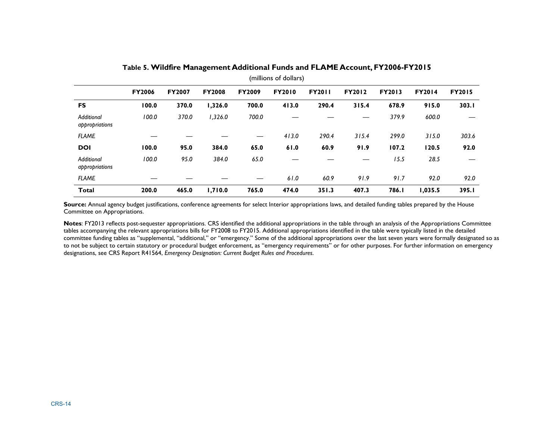| (millions of dollars)        |               |               |               |               |               |               |               |               |               |               |
|------------------------------|---------------|---------------|---------------|---------------|---------------|---------------|---------------|---------------|---------------|---------------|
|                              | <b>FY2006</b> | <b>FY2007</b> | <b>FY2008</b> | <b>FY2009</b> | <b>FY2010</b> | <b>FY2011</b> | <b>FY2012</b> | <b>FY2013</b> | <b>FY2014</b> | <b>FY2015</b> |
| <b>FS</b>                    | 100.0         | 370.0         | 1,326.0       | 700.0         | 413.0         | 290.4         | 315.4         | 678.9         | 915.0         | 303.1         |
| Additional<br>appropriations | 100.0         | 370.0         | 1,326.0       | 700.0         |               |               |               | 379.9         | 600.0         |               |
| <b>FLAME</b>                 |               |               |               | —             | 413.0         | 290.4         | 315.4         | 299.0         | 315.0         | 303.6         |
| <b>DOI</b>                   | 100.0         | 95.0          | 384.0         | 65.0          | 61.0          | 60.9          | 91.9          | 107.2         | 120.5         | 92.0          |
| Additional<br>appropriations | 100.0         | 95.0          | 384.0         | 65.0          |               |               |               | 15.5          | 28.5          |               |
| <b>FLAME</b>                 |               |               |               | —             | 61.0          | 60.9          | 91.9          | 91.7          | 92.0          | 92.0          |
| Total                        | 200.0         | 465.0         | 1,710.0       | 765.0         | 474.0         | 351.3         | 407.3         | 786.I         | 1,035.5       | 395.I         |

#### **Table 5. Wildfire Management Additional Funds and FLAME Account, FY2006-FY2015**

Source: Annual agency budget justifications, conference agreements for select Interior appropriations laws, and detailed funding tables prepared by the House Committee on Appropriations.

**Notes**: FY2013 reflects post-sequester appropriations. CRS identified the additional appropriations in the table through an analysis of the Appropriations Committee tables accompanying the relevant appropriations bills for FY2008 to FY2015. Additional appropriations identified in the table were typically listed in the detailed committee funding tables as "supplemental, "additional," or "emergency." Some of the additional appropriations over the last seven years were formally designated so as to not be subject to certain statutory or procedural budget enforcement, as "emergency requirements" or for other purposes. For further information on emergency designations, see CRS Report R41564, *Emergency Designation: Current Budget Rules and Procedures*.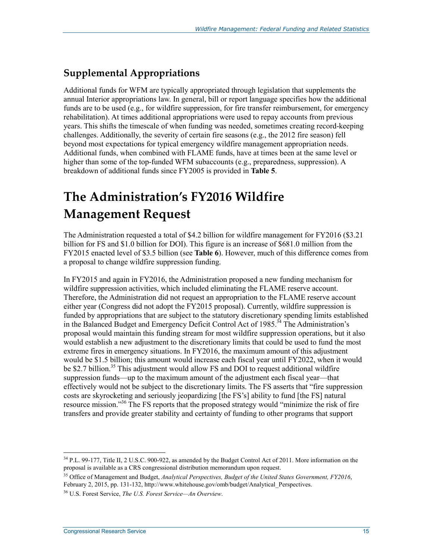#### **Supplemental Appropriations**

Additional funds for WFM are typically appropriated through legislation that supplements the annual Interior appropriations law. In general, bill or report language specifies how the additional funds are to be used (e.g., for wildfire suppression, for fire transfer reimbursement, for emergency rehabilitation). At times additional appropriations were used to repay accounts from previous years. This shifts the timescale of when funding was needed, sometimes creating record-keeping challenges. Additionally, the severity of certain fire seasons (e.g., the 2012 fire season) fell beyond most expectations for typical emergency wildfire management appropriation needs. Additional funds, when combined with FLAME funds, have at times been at the same level or higher than some of the top-funded WFM subaccounts (e.g., preparedness, suppression). A breakdown of additional funds since FY2005 is provided in **Table 5**.

## **The Administration's FY2016 Wildfire Management Request**

The Administration requested a total of \$4.2 billion for wildfire management for FY2016 (\$3.21 billion for FS and \$1.0 billion for DOI). This figure is an increase of \$681.0 million from the FY2015 enacted level of \$3.5 billion (see **Table 6**). However, much of this difference comes from a proposal to change wildfire suppression funding.

In FY2015 and again in FY2016, the Administration proposed a new funding mechanism for wildfire suppression activities, which included eliminating the FLAME reserve account. Therefore, the Administration did not request an appropriation to the FLAME reserve account either year (Congress did not adopt the FY2015 proposal). Currently, wildfire suppression is funded by appropriations that are subject to the statutory discretionary spending limits established in the Balanced Budget and Emergency Deficit Control Act of 1985.<sup>34</sup> The Administration's proposal would maintain this funding stream for most wildfire suppression operations, but it also would establish a new adjustment to the discretionary limits that could be used to fund the most extreme fires in emergency situations. In FY2016, the maximum amount of this adjustment would be \$1.5 billion; this amount would increase each fiscal year until FY2022, when it would be \$2.7 billion.<sup>35</sup> This adjustment would allow FS and DOI to request additional wildfire suppression funds—up to the maximum amount of the adjustment each fiscal year—that effectively would not be subject to the discretionary limits. The FS asserts that "fire suppression costs are skyrocketing and seriously jeopardizing [the FS's] ability to fund [the FS] natural resource mission."<sup>36</sup> The FS reports that the proposed strategy would "minimize the risk of fire transfers and provide greater stability and certainty of funding to other programs that support

<sup>&</sup>lt;sup>34</sup> P.L. 99-177, Title II, 2 U.S.C. 900-922, as amended by the Budget Control Act of 2011. More information on the proposal is available as a CRS congressional distribution memorandum upon request.

<sup>35</sup> Office of Management and Budget, *Analytical Perspectives, Budget of the United States Government, FY2016*, February 2, 2015, pp. 131-132, http://www.whitehouse.gov/omb/budget/Analytical\_Perspectives.

<sup>36</sup> U.S. Forest Service, *The U.S. Forest Service—An Overview*.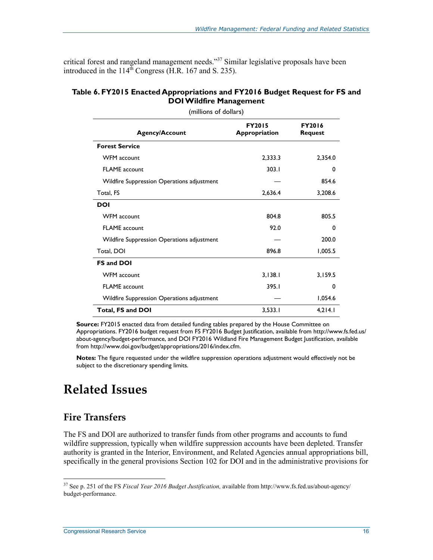critical forest and rangeland management needs."<sup>37</sup> Similar legislative proposals have been introduced in the  $114^{\text{th}}$  Congress (H.R. 167 and S. 235).

#### **Table 6. FY2015 Enacted Appropriations and FY2016 Budget Request for FS and DOI Wildfire Management**

| (millions of dollars)                      |                                |                                 |  |  |  |  |  |
|--------------------------------------------|--------------------------------|---------------------------------|--|--|--|--|--|
| <b>Agency/Account</b>                      | <b>FY2015</b><br>Appropriation | <b>FY2016</b><br><b>Request</b> |  |  |  |  |  |
| <b>Forest Service</b>                      |                                |                                 |  |  |  |  |  |
| <b>WFM</b> account                         | 2,333.3                        | 2,354.0                         |  |  |  |  |  |
| <b>FLAME</b> account                       | 303.1                          | 0                               |  |  |  |  |  |
| Wildfire Suppression Operations adjustment |                                | 854.6                           |  |  |  |  |  |
| Total, FS                                  | 2,636.4                        | 3,208.6                         |  |  |  |  |  |
| DOI                                        |                                |                                 |  |  |  |  |  |
| <b>WFM</b> account                         | 804.8                          | 805.5                           |  |  |  |  |  |
| <b>FLAME</b> account                       | 92.0                           | 0                               |  |  |  |  |  |
| Wildfire Suppression Operations adjustment |                                | 200.0                           |  |  |  |  |  |
| Total, DOI                                 | 896.8                          | 1,005.5                         |  |  |  |  |  |
| <b>FS and DOI</b>                          |                                |                                 |  |  |  |  |  |
| WFM account                                | 3,138.1                        | 3,159.5                         |  |  |  |  |  |
| <b>FLAME</b> account                       | 395.1                          | 0                               |  |  |  |  |  |
| Wildfire Suppression Operations adjustment |                                | 1,054.6                         |  |  |  |  |  |
| Total, FS and DOI                          | 3,533.1                        | 4,214.1                         |  |  |  |  |  |

**Source:** FY2015 enacted data from detailed funding tables prepared by the House Committee on Appropriations. FY2016 budget request from FS FY2016 Budget Justification, available from http://www.fs.fed.us/ about-agency/budget-performance, and DOI FY2016 Wildland Fire Management Budget Justification, available from http://www.doi.gov/budget/appropriations/2016/index.cfm.

**Notes:** The figure requested under the wildfire suppression operations adjustment would effectively not be subject to the discretionary spending limits.

### **Related Issues**

#### **Fire Transfers**

1

The FS and DOI are authorized to transfer funds from other programs and accounts to fund wildfire suppression, typically when wildfire suppression accounts have been depleted. Transfer authority is granted in the Interior, Environment, and Related Agencies annual appropriations bill, specifically in the general provisions Section 102 for DOI and in the administrative provisions for

<sup>37</sup> See p. 251 of the FS *Fiscal Year 2016 Budget Justification,* available from http://www.fs.fed.us/about-agency/ budget-performance.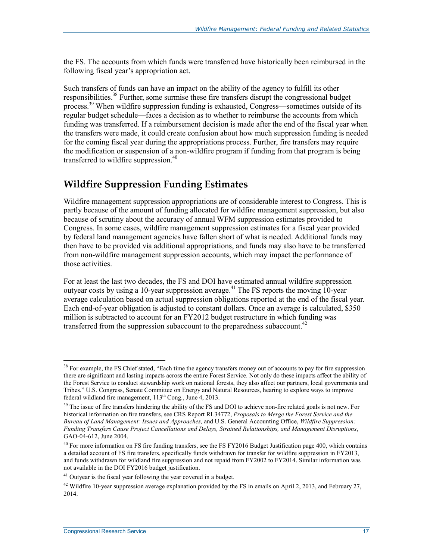the FS. The accounts from which funds were transferred have historically been reimbursed in the following fiscal year's appropriation act.

Such transfers of funds can have an impact on the ability of the agency to fulfill its other responsibilities.<sup>38</sup> Further, some surmise these fire transfers disrupt the congressional budget process.<sup>39</sup> When wildfire suppression funding is exhausted, Congress—sometimes outside of its regular budget schedule—faces a decision as to whether to reimburse the accounts from which funding was transferred. If a reimbursement decision is made after the end of the fiscal year when the transfers were made, it could create confusion about how much suppression funding is needed for the coming fiscal year during the appropriations process. Further, fire transfers may require the modification or suspension of a non-wildfire program if funding from that program is being transferred to wildfire suppression.<sup>40</sup>

#### **Wildfire Suppression Funding Estimates**

Wildfire management suppression appropriations are of considerable interest to Congress. This is partly because of the amount of funding allocated for wildfire management suppression, but also because of scrutiny about the accuracy of annual WFM suppression estimates provided to Congress. In some cases, wildfire management suppression estimates for a fiscal year provided by federal land management agencies have fallen short of what is needed. Additional funds may then have to be provided via additional appropriations, and funds may also have to be transferred from non-wildfire management suppression accounts, which may impact the performance of those activities.

For at least the last two decades, the FS and DOI have estimated annual wildfire suppression outyear costs by using a 10-year suppression average.<sup>41</sup> The FS reports the moving 10-year average calculation based on actual suppression obligations reported at the end of the fiscal year. Each end-of-year obligation is adjusted to constant dollars. Once an average is calculated, \$350 million is subtracted to account for an FY2012 budget restructure in which funding was transferred from the suppression subaccount to the preparedness subaccount.<sup>42</sup>

<sup>&</sup>lt;sup>38</sup> For example, the FS Chief stated, "Each time the agency transfers money out of accounts to pay for fire suppression there are significant and lasting impacts across the entire Forest Service. Not only do these impacts affect the ability of the Forest Service to conduct stewardship work on national forests, they also affect our partners, local governments and Tribes." U.S. Congress, Senate Committee on Energy and Natural Resources, hearing to explore ways to improve federal wildland fire management, 113<sup>th</sup> Cong., June 4, 2013.

<sup>&</sup>lt;sup>39</sup> The issue of fire transfers hindering the ability of the FS and DOI to achieve non-fire related goals is not new. For historical information on fire transfers, see CRS Report RL34772, *Proposals to Merge the Forest Service and the Bureau of Land Management: Issues and Approaches,* and U.S. General Accounting Office, *Wildfire Suppression: Funding Transfers Cause Project Cancellations and Delays, Strained Relationships, and Management Disruptions*, GAO-04-612, June 2004.

 $^{40}$  For more information on FS fire funding transfers, see the FS FY2016 Budget Justification page 400, which contains a detailed account of FS fire transfers, specifically funds withdrawn for transfer for wildfire suppression in FY2013, and funds withdrawn for wildland fire suppression and not repaid from FY2002 to FY2014. Similar information was not available in the DOI FY2016 budget justification.

<sup>&</sup>lt;sup>41</sup> Outyear is the fiscal year following the year covered in a budget.

<sup>&</sup>lt;sup>42</sup> Wildfire 10-year suppression average explanation provided by the FS in emails on April 2, 2013, and February 27, 2014.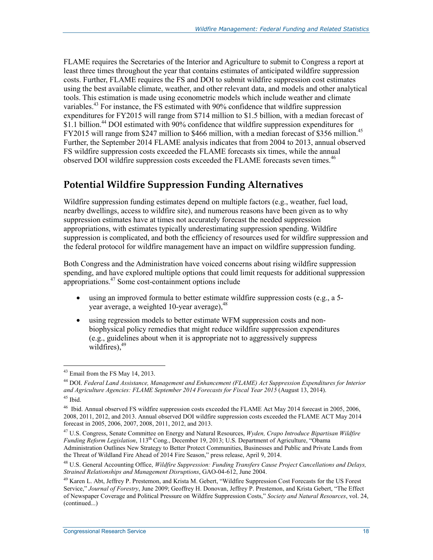FLAME requires the Secretaries of the Interior and Agriculture to submit to Congress a report at least three times throughout the year that contains estimates of anticipated wildfire suppression costs. Further, FLAME requires the FS and DOI to submit wildfire suppression cost estimates using the best available climate, weather, and other relevant data, and models and other analytical tools. This estimation is made using econometric models which include weather and climate variables.<sup>43</sup> For instance, the FS estimated with  $90\%$  confidence that wildfire suppression expenditures for FY2015 will range from \$714 million to \$1.5 billion, with a median forecast of \$1.1 billion.<sup>44</sup> DOI estimated with 90% confidence that wildfire suppression expenditures for FY2015 will range from \$247 million to \$466 million, with a median forecast of \$356 million.<sup>45</sup> Further, the September 2014 FLAME analysis indicates that from 2004 to 2013, annual observed FS wildfire suppression costs exceeded the FLAME forecasts six times, while the annual observed DOI wildfire suppression costs exceeded the FLAME forecasts seven times.<sup>46</sup>

#### **Potential Wildfire Suppression Funding Alternatives**

Wildfire suppression funding estimates depend on multiple factors (e.g., weather, fuel load, nearby dwellings, access to wildfire site), and numerous reasons have been given as to why suppression estimates have at times not accurately forecast the needed suppression appropriations, with estimates typically underestimating suppression spending. Wildfire suppression is complicated, and both the efficiency of resources used for wildfire suppression and the federal protocol for wildfire management have an impact on wildfire suppression funding.

Both Congress and the Administration have voiced concerns about rising wildfire suppression spending, and have explored multiple options that could limit requests for additional suppression appropriations.47 Some cost-containment options include

- using an improved formula to better estimate wildfire suppression costs (e.g., a 5year average, a weighted 10-year average),  $48$
- using regression models to better estimate WFM suppression costs and nonbiophysical policy remedies that might reduce wildfire suppression expenditures (e.g., guidelines about when it is appropriate not to aggressively suppress wildfires), $49$

<u>.</u>

<sup>43</sup> Email from the FS May 14, 2013.

<sup>44</sup> DOI. *Federal Land Assistance, Management and Enhancement (FLAME) Act Suppression Expenditures for Interior and Agriculture Agencies: FLAME September 2014 Forecasts for Fiscal Year 2015* (August 13, 2014). 45 Ibid.

<sup>46</sup> Ibid. Annual observed FS wildfire suppression costs exceeded the FLAME Act May 2014 forecast in 2005, 2006, 2008, 2011, 2012, and 2013. Annual observed DOI wildfire suppression costs exceeded the FLAME ACT May 2014 forecast in 2005, 2006, 2007, 2008, 2011, 2012, and 2013.

<sup>47</sup> U.S. Congress, Senate Committee on Energy and Natural Resources, *Wyden, Crapo Introduce Bipartisan Wildfire Funding Reform Legislation*, 113th Cong., December 19, 2013; U.S. Department of Agriculture, "Obama Administration Outlines New Strategy to Better Protect Communities, Businesses and Public and Private Lands from the Threat of Wildland Fire Ahead of 2014 Fire Season," press release, April 9, 2014.

<sup>48</sup> U.S. General Accounting Office, *Wildfire Suppression: Funding Transfers Cause Project Cancellations and Delays, Strained Relationships and Management Disruptions*, GAO-04-612, June 2004.

<sup>&</sup>lt;sup>49</sup> Karen L. Abt, Jeffrey P. Prestemon, and Krista M. Gebert, "Wildfire Suppression Cost Forecasts for the US Forest Service," *Journal of Forestry*, June 2009; Geoffrey H. Donovan, Jeffrey P. Prestemon, and Krista Gebert, "The Effect of Newspaper Coverage and Political Pressure on Wildfire Suppression Costs," *Society and Natural Resources*, vol. 24, (continued...)